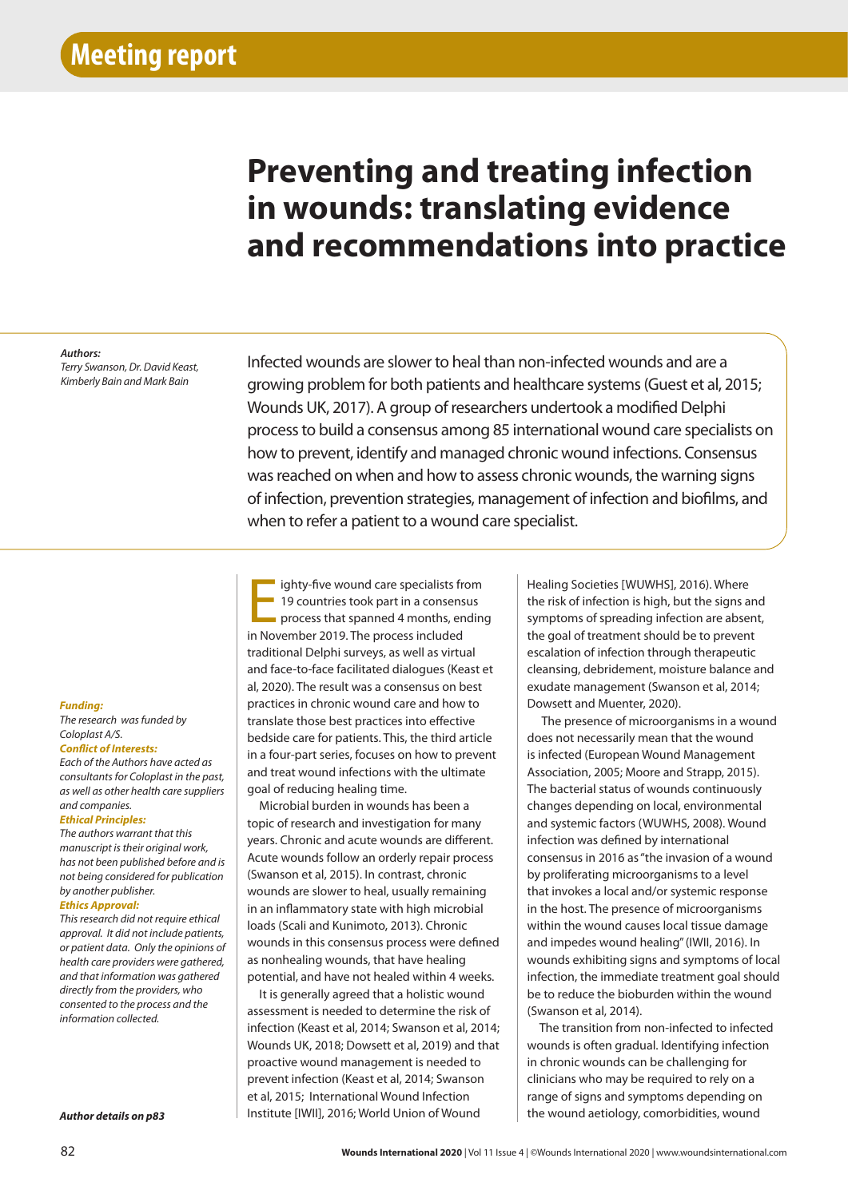# **Preventing and treating infection in wounds: translating evidence and recommendations into practice**

## *Authors:*

*Terry Swanson, Dr. David Keast, Kimberly Bain and Mark Bain*

Infected wounds are slower to heal than non-infected wounds and are a growing problem for both patients and healthcare systems (Guest et al, 2015; Wounds UK, 2017). A group of researchers undertook a modified Delphi process to build a consensus among 85 international wound care specialists on how to prevent, identify and managed chronic wound infections. Consensus was reached on when and how to assess chronic wounds, the warning signs of infection, prevention strategies, management of infection and biofilms, and when to refer a patient to a wound care specialist.

## *Funding:*

*The research was funded by Coloplast A/S.*

*Conflict of Interests:* 

*Each of the Authors have acted as consultants for Coloplast in the past, as well as other health care suppliers and companies.*

## *Ethical Principles:*

*The authors warrant that this manuscript is their original work, has not been published before and is not being considered for publication by another publisher.*

#### *Ethics Approval:*

*This research did not require ethical approval. It did not include patients, or patient data. Only the opinions of health care providers were gathered, and that information was gathered directly from the providers, who consented to the process and the information collected.*

*Author details on p83*

ighty-five wound care specialists fr<br>19 countries took part in a consens<br>process that spanned 4 months, en<br>in November 2019. The process included ighty-five wound care specialists from 19 countries took part in a consensus process that spanned 4 months, ending traditional Delphi surveys, as well as virtual and face-to-face facilitated dialogues (Keast et al, 2020). The result was a consensus on best practices in chronic wound care and how to translate those best practices into effective bedside care for patients. This, the third article in a four-part series, focuses on how to prevent and treat wound infections with the ultimate goal of reducing healing time.

Microbial burden in wounds has been a topic of research and investigation for many years. Chronic and acute wounds are different. Acute wounds follow an orderly repair process (Swanson et al, 2015). In contrast, chronic wounds are slower to heal, usually remaining in an inflammatory state with high microbial loads (Scali and Kunimoto, 2013). Chronic wounds in this consensus process were defined as nonhealing wounds, that have healing potential, and have not healed within 4 weeks.

It is generally agreed that a holistic wound assessment is needed to determine the risk of infection (Keast et al, 2014; Swanson et al, 2014; Wounds UK, 2018; Dowsett et al, 2019) and that proactive wound management is needed to prevent infection (Keast et al, 2014; Swanson et al, 2015; International Wound Infection Institute [IWII], 2016; World Union of Wound

Healing Societies [WUWHS], 2016). Where the risk of infection is high, but the signs and symptoms of spreading infection are absent, the goal of treatment should be to prevent escalation of infection through therapeutic cleansing, debridement, moisture balance and exudate management (Swanson et al, 2014; Dowsett and Muenter, 2020).

 The presence of microorganisms in a wound does not necessarily mean that the wound is infected (European Wound Management Association, 2005; Moore and Strapp, 2015). The bacterial status of wounds continuously changes depending on local, environmental and systemic factors (WUWHS, 2008). Wound infection was defined by international consensus in 2016 as "the invasion of a wound by proliferating microorganisms to a level that invokes a local and/or systemic response in the host. The presence of microorganisms within the wound causes local tissue damage and impedes wound healing" (IWII, 2016). In wounds exhibiting signs and symptoms of local infection, the immediate treatment goal should be to reduce the bioburden within the wound (Swanson et al, 2014).

The transition from non-infected to infected wounds is often gradual. Identifying infection in chronic wounds can be challenging for clinicians who may be required to rely on a range of signs and symptoms depending on the wound aetiology, comorbidities, wound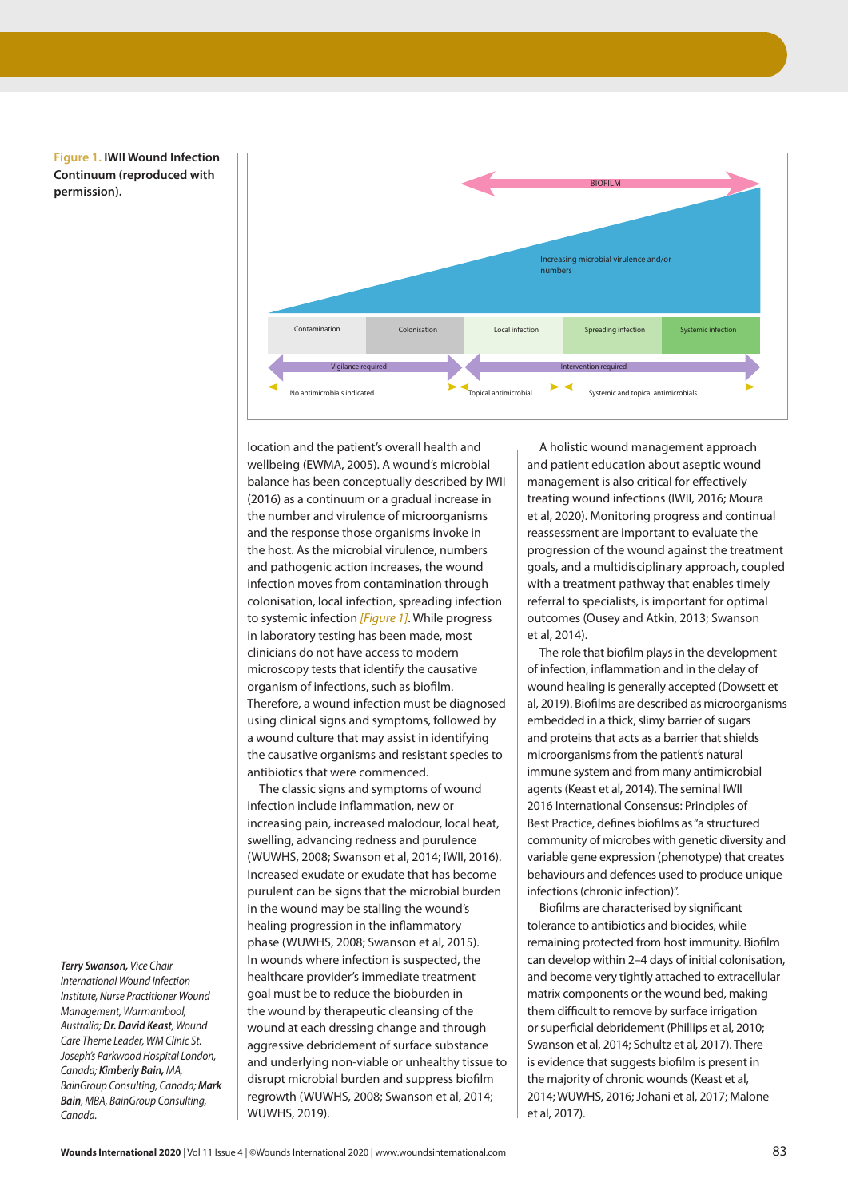**Figure 1. IWII Wound Infection Continuum (reproduced with permission).**



location and the patient's overall health and wellbeing (EWMA, 2005). A wound's microbial balance has been conceptually described by IWII (2016) as a continuum or a gradual increase in the number and virulence of microorganisms and the response those organisms invoke in the host. As the microbial virulence, numbers and pathogenic action increases, the wound infection moves from contamination through colonisation, local infection, spreading infection to systemic infection *[Figure 1]*. While progress in laboratory testing has been made, most clinicians do not have access to modern microscopy tests that identify the causative organism of infections, such as biofilm. Therefore, a wound infection must be diagnosed using clinical signs and symptoms, followed by a wound culture that may assist in identifying the causative organisms and resistant species to antibiotics that were commenced.

The classic signs and symptoms of wound infection include inflammation, new or increasing pain, increased malodour, local heat, swelling, advancing redness and purulence (WUWHS, 2008; Swanson et al, 2014; IWII, 2016). Increased exudate or exudate that has become purulent can be signs that the microbial burden in the wound may be stalling the wound's healing progression in the inflammatory phase (WUWHS, 2008; Swanson et al, 2015). In wounds where infection is suspected, the healthcare provider's immediate treatment goal must be to reduce the bioburden in the wound by therapeutic cleansing of the wound at each dressing change and through aggressive debridement of surface substance and underlying non-viable or unhealthy tissue to disrupt microbial burden and suppress biofilm regrowth (WUWHS, 2008; Swanson et al, 2014; WUWHS, 2019).

A holistic wound management approach and patient education about aseptic wound management is also critical for effectively treating wound infections (IWII, 2016; Moura et al, 2020). Monitoring progress and continual reassessment are important to evaluate the progression of the wound against the treatment goals, and a multidisciplinary approach, coupled with a treatment pathway that enables timely referral to specialists, is important for optimal outcomes (Ousey and Atkin, 2013; Swanson et al, 2014).

The role that biofilm plays in the development of infection, inflammation and in the delay of wound healing is generally accepted (Dowsett et al, 2019). Biofilms are described as microorganisms embedded in a thick, slimy barrier of sugars and proteins that acts as a barrier that shields microorganisms from the patient's natural immune system and from many antimicrobial agents (Keast et al, 2014). The seminal IWII 2016 International Consensus: Principles of Best Practice, defines biofilms as "a structured community of microbes with genetic diversity and variable gene expression (phenotype) that creates behaviours and defences used to produce unique infections (chronic infection)".

Biofilms are characterised by significant tolerance to antibiotics and biocides, while remaining protected from host immunity. Biofilm can develop within 2–4 days of initial colonisation, and become very tightly attached to extracellular matrix components or the wound bed, making them difficult to remove by surface irrigation or superficial debridement (Phillips et al, 2010; Swanson et al, 2014; Schultz et al, 2017). There is evidence that suggests biofilm is present in the majority of chronic wounds (Keast et al, 2014; WUWHS, 2016; Johani et al, 2017; Malone et al, 2017).

*Terry Swanson, Vice Chair International Wound Infection Institute, Nurse Practitioner Wound Management, Warrnambool, Australia; Dr. David Keast, Wound Care Theme Leader, WM Clinic St. Joseph's Parkwood Hospital London, Canada; Kimberly Bain, MA, BainGroup Consulting, Canada; Mark Bain, MBA, BainGroup Consulting, Canada.*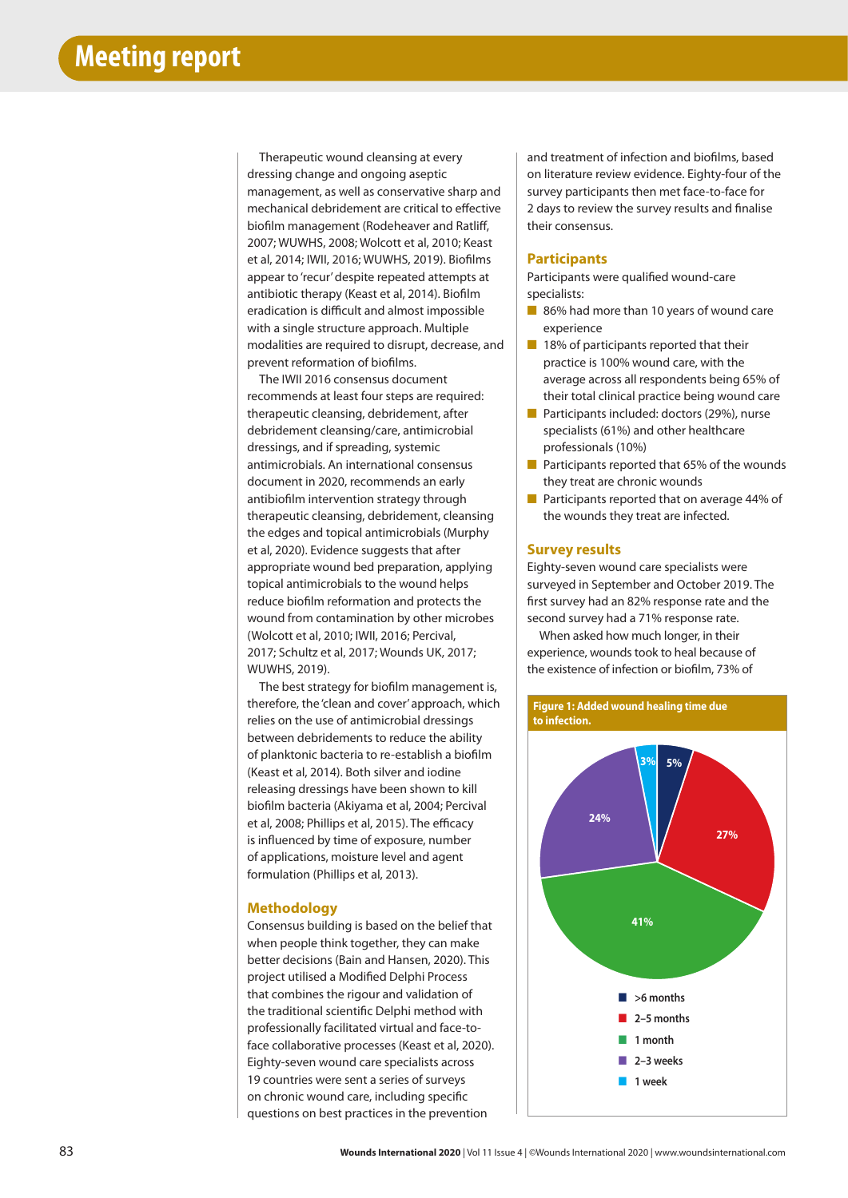Therapeutic wound cleansing at every dressing change and ongoing aseptic management, as well as conservative sharp and mechanical debridement are critical to effective biofilm management (Rodeheaver and Ratliff, 2007; WUWHS, 2008; Wolcott et al, 2010; Keast et al, 2014; IWII, 2016; WUWHS, 2019). Biofilms appear to 'recur' despite repeated attempts at antibiotic therapy (Keast et al, 2014). Biofilm eradication is difficult and almost impossible with a single structure approach. Multiple modalities are required to disrupt, decrease, and prevent reformation of biofilms.

The IWII 2016 consensus document recommends at least four steps are required: therapeutic cleansing, debridement, after debridement cleansing/care, antimicrobial dressings, and if spreading, systemic antimicrobials. An international consensus document in 2020, recommends an early antibiofilm intervention strategy through therapeutic cleansing, debridement, cleansing the edges and topical antimicrobials (Murphy et al, 2020). Evidence suggests that after appropriate wound bed preparation, applying topical antimicrobials to the wound helps reduce biofilm reformation and protects the wound from contamination by other microbes (Wolcott et al, 2010; IWII, 2016; Percival, 2017; Schultz et al, 2017; Wounds UK, 2017; WUWHS, 2019).

The best strategy for biofilm management is, therefore, the 'clean and cover' approach, which relies on the use of antimicrobial dressings between debridements to reduce the ability of planktonic bacteria to re-establish a biofilm (Keast et al, 2014). Both silver and iodine releasing dressings have been shown to kill biofilm bacteria (Akiyama et al, 2004; Percival et al, 2008; Phillips et al, 2015). The efficacy is influenced by time of exposure, number of applications, moisture level and agent formulation (Phillips et al, 2013).

# **Methodology**

Consensus building is based on the belief that when people think together, they can make better decisions (Bain and Hansen, 2020). This project utilised a Modified Delphi Process that combines the rigour and validation of the traditional scientific Delphi method with professionally facilitated virtual and face-toface collaborative processes (Keast et al, 2020). Eighty-seven wound care specialists across 19 countries were sent a series of surveys on chronic wound care, including specific questions on best practices in the prevention

and treatment of infection and biofilms, based on literature review evidence. Eighty-four of the survey participants then met face-to-face for 2 days to review the survey results and finalise their consensus.

# **Participants**

Participants were qualified wound-care specialists:

- 86% had more than 10 years of wound care experience
- 18% of participants reported that their practice is 100% wound care, with the average across all respondents being 65% of their total clinical practice being wound care
- Participants included: doctors (29%), nurse specialists (61%) and other healthcare professionals (10%)
- Participants reported that 65% of the wounds they treat are chronic wounds
- Participants reported that on average 44% of the wounds they treat are infected.

## **Survey results**

Eighty-seven wound care specialists were surveyed in September and October 2019. The first survey had an 82% response rate and the second survey had a 71% response rate.

When asked how much longer, in their experience, wounds took to heal because of the existence of infection or biofilm, 73% of

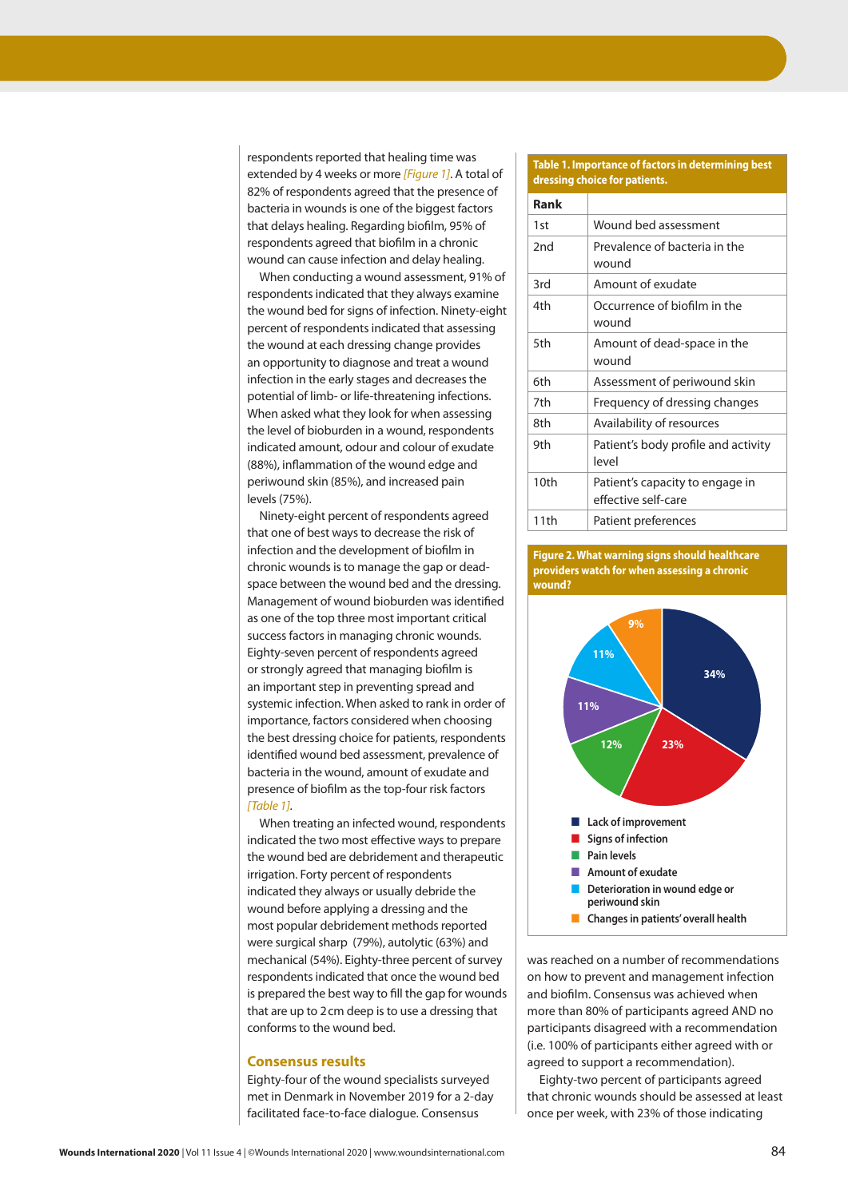respondents reported that healing time was extended by 4 weeks or more *[Figure 1]*. A total of 82% of respondents agreed that the presence of bacteria in wounds is one of the biggest factors that delays healing. Regarding biofilm, 95% of respondents agreed that biofilm in a chronic wound can cause infection and delay healing.

When conducting a wound assessment, 91% of respondents indicated that they always examine the wound bed for signs of infection. Ninety-eight percent of respondents indicated that assessing the wound at each dressing change provides an opportunity to diagnose and treat a wound infection in the early stages and decreases the potential of limb- or life-threatening infections. When asked what they look for when assessing the level of bioburden in a wound, respondents indicated amount, odour and colour of exudate (88%), inflammation of the wound edge and periwound skin (85%), and increased pain levels (75%).

Ninety-eight percent of respondents agreed that one of best ways to decrease the risk of infection and the development of biofilm in chronic wounds is to manage the gap or deadspace between the wound bed and the dressing. Management of wound bioburden was identified as one of the top three most important critical success factors in managing chronic wounds. Eighty-seven percent of respondents agreed or strongly agreed that managing biofilm is an important step in preventing spread and systemic infection. When asked to rank in order of importance, factors considered when choosing the best dressing choice for patients, respondents identified wound bed assessment, prevalence of bacteria in the wound, amount of exudate and presence of biofilm as the top-four risk factors *[Table 1]*.

When treating an infected wound, respondents indicated the two most effective ways to prepare the wound bed are debridement and therapeutic irrigation. Forty percent of respondents indicated they always or usually debride the wound before applying a dressing and the most popular debridement methods reported were surgical sharp (79%), autolytic (63%) and mechanical (54%). Eighty-three percent of survey respondents indicated that once the wound bed is prepared the best way to fill the gap for wounds that are up to 2cm deep is to use a dressing that conforms to the wound bed.

## **Consensus results**

Eighty-four of the wound specialists surveyed met in Denmark in November 2019 for a 2-day facilitated face-to-face dialogue. Consensus

## **Table 1. Importance of factors in determining best dressing choice for patients.**

| Rank |                                                        |
|------|--------------------------------------------------------|
| 1st  | Wound bed assessment                                   |
| 2nd  | Prevalence of bacteria in the<br>wound                 |
| 3rd  | Amount of exudate                                      |
| 4th  | Occurrence of biofilm in the<br>wound                  |
| 5th  | Amount of dead-space in the<br>wound                   |
| 6th  | Assessment of periwound skin                           |
| 7th  | Frequency of dressing changes                          |
| 8th  | Availability of resources                              |
| 9th  | Patient's body profile and activity<br>level           |
| 10th | Patient's capacity to engage in<br>effective self-care |
| 11th | Patient preferences                                    |





was reached on a number of recommendations on how to prevent and management infection and biofilm. Consensus was achieved when more than 80% of participants agreed AND no participants disagreed with a recommendation (i.e. 100% of participants either agreed with or agreed to support a recommendation).

Eighty-two percent of participants agreed that chronic wounds should be assessed at least once per week, with 23% of those indicating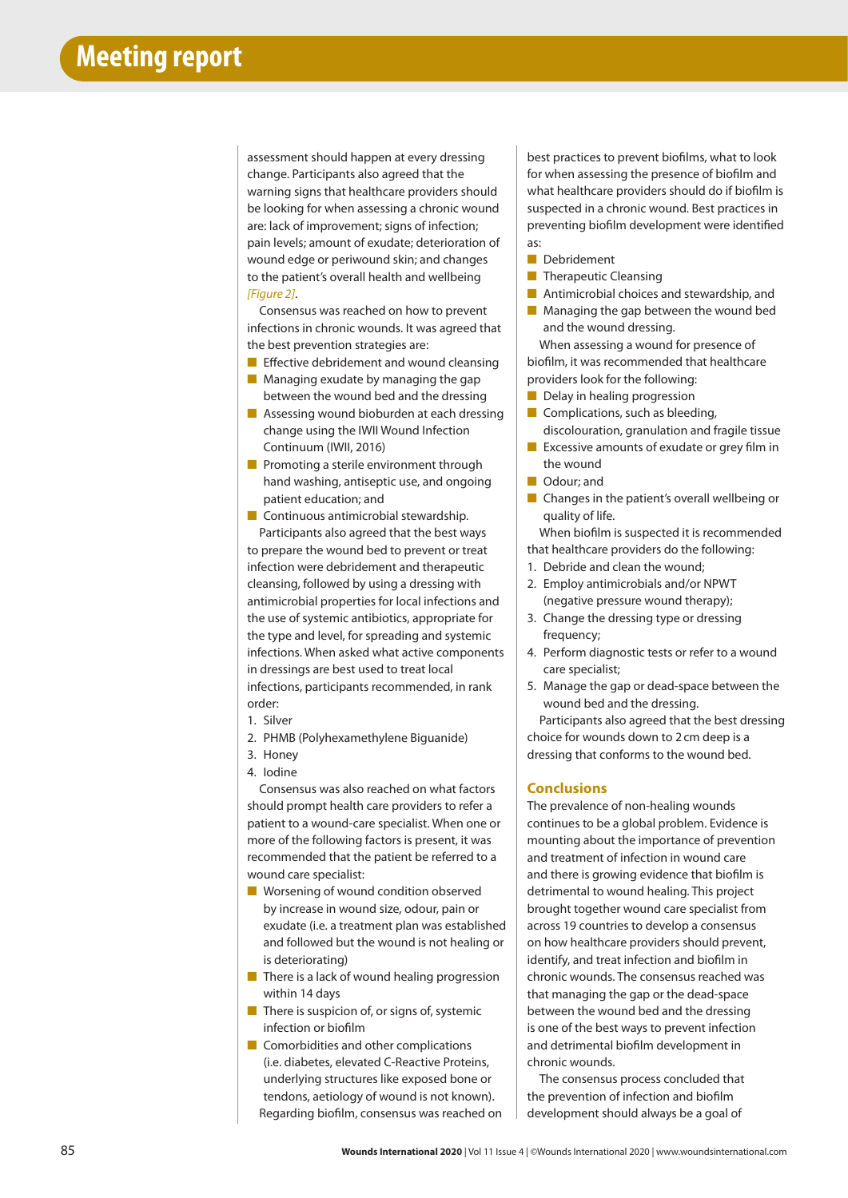assessment should happen at every dressing change. Participants also agreed that the warning signs that healthcare providers should be looking for when assessing a chronic wound are: lack of improvement; signs of infection; pain levels; amount of exudate; deterioration of wound edge or periwound skin; and changes to the patient's overall health and wellbeing *[Figure 2]*.

Consensus was reached on how to prevent infections in chronic wounds. It was agreed that the best prevention strategies are:

- Effective debridement and wound cleansing
- Managing exudate by managing the gap between the wound bed and the dressing
- Assessing wound bioburden at each dressing change using the IWII Wound Infection Continuum (IWII, 2016)
- Promoting a sterile environment through hand washing, antiseptic use, and ongoing patient education; and
- Continuous antimicrobial stewardship.

Participants also agreed that the best ways to prepare the wound bed to prevent or treat infection were debridement and therapeutic cleansing, followed by using a dressing with antimicrobial properties for local infections and the use of systemic antibiotics, appropriate for the type and level, for spreading and systemic infections. When asked what active components in dressings are best used to treat local infections, participants recommended, in rank order:

- 1. Silver
- 2. PHMB (Polyhexamethylene Biguanide)
- 3. Honey
- 4. Iodine

Consensus was also reached on what factors should prompt health care providers to refer a patient to a wound-care specialist. When one or more of the following factors is present, it was recommended that the patient be referred to a wound care specialist:

- Worsening of wound condition observed by increase in wound size, odour, pain or exudate (i.e. a treatment plan was established and followed but the wound is not healing or is deteriorating)
- There is a lack of wound healing progression within 14 days
- There is suspicion of, or signs of, systemic infection or biofilm
- Comorbidities and other complications (i.e. diabetes, elevated C-Reactive Proteins, underlying structures like exposed bone or tendons, aetiology of wound is not known). Regarding biofilm, consensus was reached on

best practices to prevent biofilms, what to look for when assessing the presence of biofilm and what healthcare providers should do if biofilm is suspected in a chronic wound. Best practices in preventing biofilm development were identified as:

- Debridement
- **B** Therapeutic Cleansing
- Antimicrobial choices and stewardship, and
- Managing the gap between the wound bed and the wound dressing.

When assessing a wound for presence of biofilm, it was recommended that healthcare providers look for the following:

- Delay in healing progression
- Complications, such as bleeding, discolouration, granulation and fragile tissue
- Excessive amounts of exudate or grey film in the wound
- Odour: and
- Changes in the patient's overall wellbeing or quality of life.

When biofilm is suspected it is recommended that healthcare providers do the following:

- 1. Debride and clean the wound;
- 2. Employ antimicrobials and/or NPWT (negative pressure wound therapy);
- 3. Change the dressing type or dressing frequency:
- 4. Perform diagnostic tests or refer to a wound care specialist;
- 5. Manage the gap or dead-space between the wound bed and the dressing.

Participants also agreed that the best dressing choice for wounds down to 2cm deep is a dressing that conforms to the wound bed.

## **Conclusions**

The prevalence of non-healing wounds continues to be a global problem. Evidence is mounting about the importance of prevention and treatment of infection in wound care and there is growing evidence that biofilm is detrimental to wound healing. This project brought together wound care specialist from across 19 countries to develop a consensus on how healthcare providers should prevent, identify, and treat infection and biofilm in chronic wounds. The consensus reached was that managing the gap or the dead-space between the wound bed and the dressing is one of the best ways to prevent infection and detrimental biofilm development in chronic wounds.

The consensus process concluded that the prevention of infection and biofilm development should always be a goal of